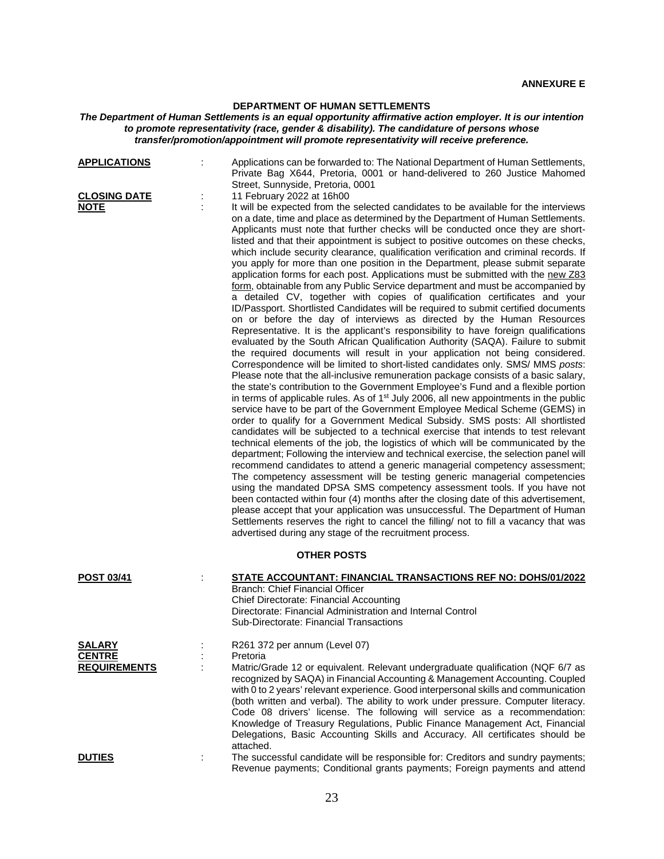## **DEPARTMENT OF HUMAN SETTLEMENTS**

## *The Department of Human Settlements is an equal opportunity affirmative action employer. It is our intention to promote representativity (race, gender & disability). The candidature of persons whose transfer/promotion/appointment will promote representativity will receive preference.*

| <b>APPLICATIONS</b>                                   |   | Applications can be forwarded to: The National Department of Human Settlements,<br>Private Bag X644, Pretoria, 0001 or hand-delivered to 260 Justice Mahomed<br>Street, Sunnyside, Pretoria, 0001                                                                                                                                                                                                                                                                                                                                                                                                                                                                                                                                                                                                                                                                                                                                                                                                                                                                                                                                                                                                                                                                                                                                                                                                                                                                                                                                                                                                                                                                                                                                                                                                                                                                                                                                                                                                                                                                                                                                                                                                                                                                                                                                                                                                                                                                                                                                                                                                              |  |  |
|-------------------------------------------------------|---|----------------------------------------------------------------------------------------------------------------------------------------------------------------------------------------------------------------------------------------------------------------------------------------------------------------------------------------------------------------------------------------------------------------------------------------------------------------------------------------------------------------------------------------------------------------------------------------------------------------------------------------------------------------------------------------------------------------------------------------------------------------------------------------------------------------------------------------------------------------------------------------------------------------------------------------------------------------------------------------------------------------------------------------------------------------------------------------------------------------------------------------------------------------------------------------------------------------------------------------------------------------------------------------------------------------------------------------------------------------------------------------------------------------------------------------------------------------------------------------------------------------------------------------------------------------------------------------------------------------------------------------------------------------------------------------------------------------------------------------------------------------------------------------------------------------------------------------------------------------------------------------------------------------------------------------------------------------------------------------------------------------------------------------------------------------------------------------------------------------------------------------------------------------------------------------------------------------------------------------------------------------------------------------------------------------------------------------------------------------------------------------------------------------------------------------------------------------------------------------------------------------------------------------------------------------------------------------------------------------|--|--|
| <b>CLOSING DATE</b><br><u>NOTE</u>                    | ÷ | 11 February 2022 at 16h00<br>It will be expected from the selected candidates to be available for the interviews<br>on a date, time and place as determined by the Department of Human Settlements.<br>Applicants must note that further checks will be conducted once they are short-<br>listed and that their appointment is subject to positive outcomes on these checks,<br>which include security clearance, qualification verification and criminal records. If<br>you apply for more than one position in the Department, please submit separate<br>application forms for each post. Applications must be submitted with the new Z83<br>form, obtainable from any Public Service department and must be accompanied by<br>a detailed CV, together with copies of qualification certificates and your<br>ID/Passport. Shortlisted Candidates will be required to submit certified documents<br>on or before the day of interviews as directed by the Human Resources<br>Representative. It is the applicant's responsibility to have foreign qualifications<br>evaluated by the South African Qualification Authority (SAQA). Failure to submit<br>the required documents will result in your application not being considered.<br>Correspondence will be limited to short-listed candidates only. SMS/ MMS posts:<br>Please note that the all-inclusive remuneration package consists of a basic salary,<br>the state's contribution to the Government Employee's Fund and a flexible portion<br>in terms of applicable rules. As of 1 <sup>st</sup> July 2006, all new appointments in the public<br>service have to be part of the Government Employee Medical Scheme (GEMS) in<br>order to qualify for a Government Medical Subsidy. SMS posts: All shortlisted<br>candidates will be subjected to a technical exercise that intends to test relevant<br>technical elements of the job, the logistics of which will be communicated by the<br>department; Following the interview and technical exercise, the selection panel will<br>recommend candidates to attend a generic managerial competency assessment;<br>The competency assessment will be testing generic managerial competencies<br>using the mandated DPSA SMS competency assessment tools. If you have not<br>been contacted within four (4) months after the closing date of this advertisement,<br>please accept that your application was unsuccessful. The Department of Human<br>Settlements reserves the right to cancel the filling/ not to fill a vacancy that was<br>advertised during any stage of the recruitment process. |  |  |
| <b>OTHER POSTS</b>                                    |   |                                                                                                                                                                                                                                                                                                                                                                                                                                                                                                                                                                                                                                                                                                                                                                                                                                                                                                                                                                                                                                                                                                                                                                                                                                                                                                                                                                                                                                                                                                                                                                                                                                                                                                                                                                                                                                                                                                                                                                                                                                                                                                                                                                                                                                                                                                                                                                                                                                                                                                                                                                                                                |  |  |
| <b>POST 03/41</b>                                     |   | STATE ACCOUNTANT: FINANCIAL TRANSACTIONS REF NO: DOHS/01/2022<br><b>Branch: Chief Financial Officer</b><br><b>Chief Directorate: Financial Accounting</b><br>Directorate: Financial Administration and Internal Control<br>Sub-Directorate: Financial Transactions                                                                                                                                                                                                                                                                                                                                                                                                                                                                                                                                                                                                                                                                                                                                                                                                                                                                                                                                                                                                                                                                                                                                                                                                                                                                                                                                                                                                                                                                                                                                                                                                                                                                                                                                                                                                                                                                                                                                                                                                                                                                                                                                                                                                                                                                                                                                             |  |  |
| <b>SALARY</b><br><b>CENTRE</b><br><b>REQUIREMENTS</b> |   | R261 372 per annum (Level 07)<br>Pretoria<br>Matric/Grade 12 or equivalent. Relevant undergraduate qualification (NQF 6/7 as<br>recognized by SAQA) in Financial Accounting & Management Accounting. Coupled<br>with 0 to 2 years' relevant experience. Good interpersonal skills and communication<br>(both written and verbal). The ability to work under pressure. Computer literacy.<br>Code 08 drivers' license. The following will service as a recommendation:<br>Knowledge of Treasury Regulations, Public Finance Management Act, Financial<br>Delegations, Basic Accounting Skills and Accuracy. All certificates should be<br>attached.                                                                                                                                                                                                                                                                                                                                                                                                                                                                                                                                                                                                                                                                                                                                                                                                                                                                                                                                                                                                                                                                                                                                                                                                                                                                                                                                                                                                                                                                                                                                                                                                                                                                                                                                                                                                                                                                                                                                                             |  |  |
| <b>DUTIES</b>                                         |   | The successful candidate will be responsible for: Creditors and sundry payments;<br>Revenue payments; Conditional grants payments; Foreign payments and attend                                                                                                                                                                                                                                                                                                                                                                                                                                                                                                                                                                                                                                                                                                                                                                                                                                                                                                                                                                                                                                                                                                                                                                                                                                                                                                                                                                                                                                                                                                                                                                                                                                                                                                                                                                                                                                                                                                                                                                                                                                                                                                                                                                                                                                                                                                                                                                                                                                                 |  |  |